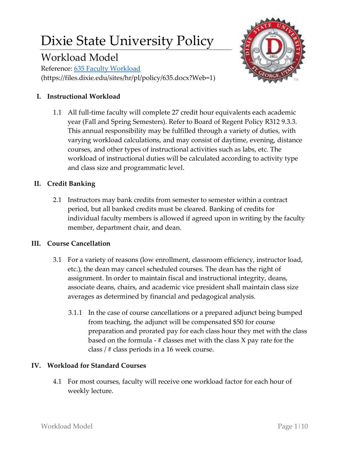# Dixie State University Policy

# Workload Model

Reference: [635 Faculty Workload](https://files.dixie.edu/sites/hr/pl/policy/635.docx?Web=1) (https://files.dixie.edu/sites/hr/pl/policy/635.docx?Web=1)

# **I. Instructional Workload**

1.1 All full-time faculty will complete 27 credit hour equivalents each academic year (Fall and Spring Semesters). Refer to Board of Regent Policy R312 9.3.3. This annual responsibility may be fulfilled through a variety of duties, with varying workload calculations, and may consist of daytime, evening, distance courses, and other types of instructional activities such as labs, etc. The workload of instructional duties will be calculated according to activity type and class size and programmatic level.

# **II. Credit Banking**

2.1 Instructors may bank credits from semester to semester within a contract period, but all banked credits must be cleared. Banking of credits for individual faculty members is allowed if agreed upon in writing by the faculty member, department chair, and dean.

# **III. Course Cancellation**

- 3.1 For a variety of reasons (low enrollment, classroom efficiency, instructor load, etc.), the dean may cancel scheduled courses. The dean has the right of assignment. In order to maintain fiscal and instructional integrity, deans, associate deans, chairs, and academic vice president shall maintain class size averages as determined by financial and pedagogical analysis.
	- 3.1.1 In the case of course cancellations or a prepared adjunct being bumped from teaching, the adjunct will be compensated \$50 for course preparation and prorated pay for each class hour they met with the class based on the formula -  $\#$  classes met with the class X pay rate for the class / # class periods in a 16 week course.

# **IV. Workload for Standard Courses**

4.1 For most courses, faculty will receive one workload factor for each hour of weekly lecture.

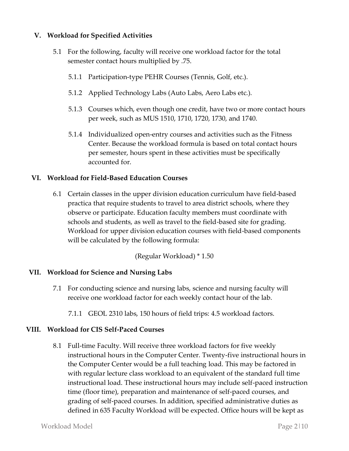# **V. Workload for Specified Activities**

- 5.1 For the following, faculty will receive one workload factor for the total semester contact hours multiplied by .75.
	- 5.1.1 Participation-type PEHR Courses (Tennis, Golf, etc.).
	- 5.1.2 Applied Technology Labs (Auto Labs, Aero Labs etc.).
	- 5.1.3 Courses which, even though one credit, have two or more contact hours per week, such as MUS 1510, 1710, 1720, 1730, and 1740.
	- 5.1.4 Individualized open-entry courses and activities such as the Fitness Center. Because the workload formula is based on total contact hours per semester, hours spent in these activities must be specifically accounted for.

#### **VI. Workload for Field-Based Education Courses**

6.1 Certain classes in the upper division education curriculum have field-based practica that require students to travel to area district schools, where they observe or participate. Education faculty members must coordinate with schools and students, as well as travel to the field-based site for grading. Workload for upper division education courses with field-based components will be calculated by the following formula:

(Regular Workload) \* 1.50

#### **VII. Workload for Science and Nursing Labs**

- 7.1 For conducting science and nursing labs, science and nursing faculty will receive one workload factor for each weekly contact hour of the lab.
	- 7.1.1 GEOL 2310 labs, 150 hours of field trips: 4.5 workload factors.

#### **VIII. Workload for CIS Self-Paced Courses**

8.1 Full-time Faculty. Will receive three workload factors for five weekly instructional hours in the Computer Center. Twenty-five instructional hours in the Computer Center would be a full teaching load. This may be factored in with regular lecture class workload to an equivalent of the standard full time instructional load. These instructional hours may include self-paced instruction time (floor time), preparation and maintenance of self-paced courses, and grading of self-paced courses. In addition, specified administrative duties as defined in 635 Faculty Workload will be expected. Office hours will be kept as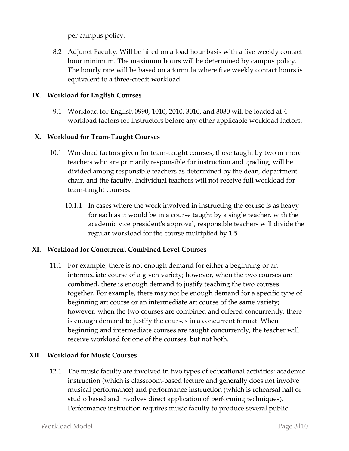per campus policy.

8.2 Adjunct Faculty. Will be hired on a load hour basis with a five weekly contact hour minimum. The maximum hours will be determined by campus policy. The hourly rate will be based on a formula where five weekly contact hours is equivalent to a three-credit workload.

# **IX. Workload for English Courses**

9.1 Workload for English 0990, 1010, 2010, 3010, and 3030 will be loaded at 4 workload factors for instructors before any other applicable workload factors.

# **X. Workload for Team-Taught Courses**

- 10.1 Workload factors given for team-taught courses, those taught by two or more teachers who are primarily responsible for instruction and grading, will be divided among responsible teachers as determined by the dean, department chair, and the faculty. Individual teachers will not receive full workload for team-taught courses.
	- 10.1.1 In cases where the work involved in instructing the course is as heavy for each as it would be in a course taught by a single teacher, with the academic vice president's approval, responsible teachers will divide the regular workload for the course multiplied by 1.5.

#### **XI. Workload for Concurrent Combined Level Courses**

11.1 For example, there is not enough demand for either a beginning or an intermediate course of a given variety; however, when the two courses are combined, there is enough demand to justify teaching the two courses together. For example, there may not be enough demand for a specific type of beginning art course or an intermediate art course of the same variety; however, when the two courses are combined and offered concurrently, there is enough demand to justify the courses in a concurrent format. When beginning and intermediate courses are taught concurrently, the teacher will receive workload for one of the courses, but not both.

# **XII. Workload for Music Courses**

12.1 The music faculty are involved in two types of educational activities: academic instruction (which is classroom-based lecture and generally does not involve musical performance) and performance instruction (which is rehearsal hall or studio based and involves direct application of performing techniques). Performance instruction requires music faculty to produce several public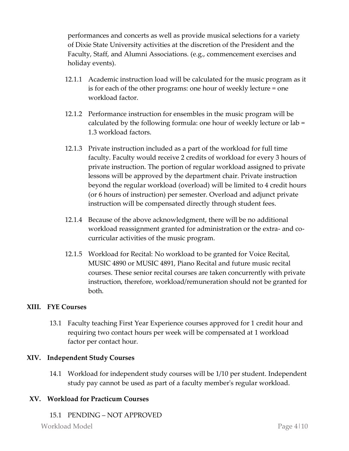performances and concerts as well as provide musical selections for a variety of Dixie State University activities at the discretion of the President and the Faculty, Staff, and Alumni Associations. (e.g., commencement exercises and holiday events).

- 12.1.1 Academic instruction load will be calculated for the music program as it is for each of the other programs: one hour of weekly lecture = one workload factor.
- 12.1.2 Performance instruction for ensembles in the music program will be calculated by the following formula: one hour of weekly lecture or lab = 1.3 workload factors.
- 12.1.3 Private instruction included as a part of the workload for full time faculty. Faculty would receive 2 credits of workload for every 3 hours of private instruction. The portion of regular workload assigned to private lessons will be approved by the department chair. Private instruction beyond the regular workload (overload) will be limited to 4 credit hours (or 6 hours of instruction) per semester. Overload and adjunct private instruction will be compensated directly through student fees.
- 12.1.4 Because of the above acknowledgment, there will be no additional workload reassignment granted for administration or the extra- and cocurricular activities of the music program.
- 12.1.5 Workload for Recital: No workload to be granted for Voice Recital, MUSIC 4890 or MUSIC 4891, Piano Recital and future music recital courses. These senior recital courses are taken concurrently with private instruction, therefore, workload/remuneration should not be granted for both.

# **XIII. FYE Courses**

13.1 Faculty teaching First Year Experience courses approved for 1 credit hour and requiring two contact hours per week will be compensated at 1 workload factor per contact hour.

#### **XIV. Independent Study Courses**

14.1 Workload for independent study courses will be 1/10 per student. Independent study pay cannot be used as part of a faculty member's regular workload.

#### **XV. Workload for Practicum Courses**

15.1 PENDING – NOT APPROVED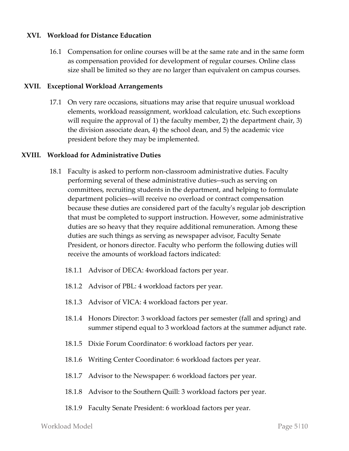#### **XVI. Workload for Distance Education**

16.1 Compensation for online courses will be at the same rate and in the same form as compensation provided for development of regular courses. Online class size shall be limited so they are no larger than equivalent on campus courses.

#### **XVII. Exceptional Workload Arrangements**

17.1 On very rare occasions, situations may arise that require unusual workload elements, workload reassignment, workload calculation, etc. Such exceptions will require the approval of 1) the faculty member, 2) the department chair, 3) the division associate dean, 4) the school dean, and 5) the academic vice president before they may be implemented.

#### **XVIII. Workload for Administrative Duties**

- 18.1 Faculty is asked to perform non-classroom administrative duties. Faculty performing several of these administrative duties--such as serving on committees, recruiting students in the department, and helping to formulate department policies--will receive no overload or contract compensation because these duties are considered part of the faculty's regular job description that must be completed to support instruction. However, some administrative duties are so heavy that they require additional remuneration. Among these duties are such things as serving as newspaper advisor, Faculty Senate President, or honors director. Faculty who perform the following duties will receive the amounts of workload factors indicated:
	- 18.1.1 Advisor of DECA: 4workload factors per year.
	- 18.1.2 Advisor of PBL: 4 workload factors per year.
	- 18.1.3 Advisor of VICA: 4 workload factors per year.
	- 18.1.4 Honors Director: 3 workload factors per semester (fall and spring) and summer stipend equal to 3 workload factors at the summer adjunct rate.
	- 18.1.5 Dixie Forum Coordinator: 6 workload factors per year.
	- 18.1.6 Writing Center Coordinator: 6 workload factors per year.
	- 18.1.7 Advisor to the Newspaper: 6 workload factors per year.
	- 18.1.8 Advisor to the Southern Quill: 3 workload factors per year.
	- 18.1.9 Faculty Senate President: 6 workload factors per year.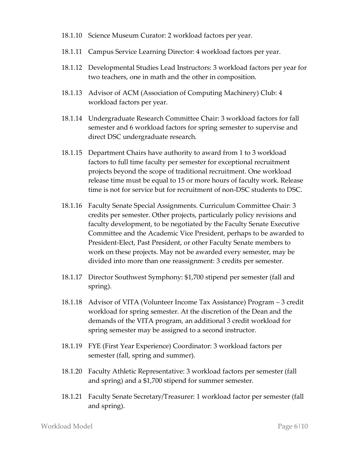- 18.1.10 Science Museum Curator: 2 workload factors per year.
- 18.1.11 Campus Service Learning Director: 4 workload factors per year.
- 18.1.12 Developmental Studies Lead Instructors: 3 workload factors per year for two teachers, one in math and the other in composition.
- 18.1.13 Advisor of ACM (Association of Computing Machinery) Club: 4 workload factors per year.
- 18.1.14 Undergraduate Research Committee Chair: 3 workload factors for fall semester and 6 workload factors for spring semester to supervise and direct DSC undergraduate research.
- 18.1.15 Department Chairs have authority to award from 1 to 3 workload factors to full time faculty per semester for exceptional recruitment projects beyond the scope of traditional recruitment. One workload release time must be equal to 15 or more hours of faculty work. Release time is not for service but for recruitment of non-DSC students to DSC.
- 18.1.16 Faculty Senate Special Assignments. Curriculum Committee Chair: 3 credits per semester. Other projects, particularly policy revisions and faculty development, to be negotiated by the Faculty Senate Executive Committee and the Academic Vice President, perhaps to be awarded to President-Elect, Past President, or other Faculty Senate members to work on these projects. May not be awarded every semester, may be divided into more than one reassignment: 3 credits per semester.
- 18.1.17 Director Southwest Symphony: \$1,700 stipend per semester (fall and spring).
- 18.1.18 Advisor of VITA (Volunteer Income Tax Assistance) Program 3 credit workload for spring semester. At the discretion of the Dean and the demands of the VITA program, an additional 3 credit workload for spring semester may be assigned to a second instructor.
- 18.1.19 FYE (First Year Experience) Coordinator: 3 workload factors per semester (fall, spring and summer).
- 18.1.20 Faculty Athletic Representative: 3 workload factors per semester (fall and spring) and a \$1,700 stipend for summer semester.
- 18.1.21 Faculty Senate Secretary/Treasurer: 1 workload factor per semester (fall and spring).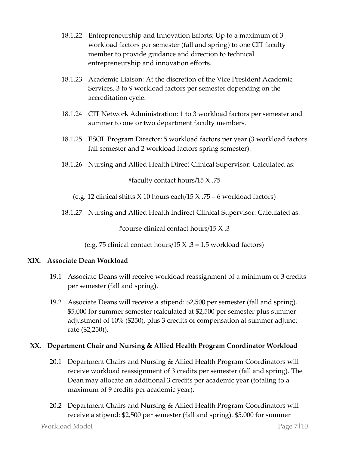- 18.1.22 Entrepreneurship and Innovation Efforts: Up to a maximum of 3 workload factors per semester (fall and spring) to one CIT faculty member to provide guidance and direction to technical entrepreneurship and innovation efforts.
- 18.1.23 Academic Liaison: At the discretion of the Vice President Academic Services, 3 to 9 workload factors per semester depending on the accreditation cycle.
- 18.1.24 CIT Network Administration: 1 to 3 workload factors per semester and summer to one or two department faculty members.
- 18.1.25 ESOL Program Director: 5 workload factors per year (3 workload factors fall semester and 2 workload factors spring semester).
- 18.1.26 Nursing and Allied Health Direct Clinical Supervisor: Calculated as:

#faculty contact hours/15 X .75

(e.g. 12 clinical shifts  $X$  10 hours each/15  $X$  .75 = 6 workload factors)

18.1.27 Nursing and Allied Health Indirect Clinical Supervisor: Calculated as:

#course clinical contact hours/15 X .3

(e.g. 75 clinical contact hours/15 X  $.3 = 1.5$  workload factors)

### **XIX. Associate Dean Workload**

- 19.1 Associate Deans will receive workload reassignment of a minimum of 3 credits per semester (fall and spring).
- 19.2 Associate Deans will receive a stipend: \$2,500 per semester (fall and spring). \$5,000 for summer semester (calculated at \$2,500 per semester plus summer adjustment of 10% (\$250), plus 3 credits of compensation at summer adjunct rate (\$2,250)).

# **XX. Department Chair and Nursing & Allied Health Program Coordinator Workload**

- 20.1 Department Chairs and Nursing & Allied Health Program Coordinators will receive workload reassignment of 3 credits per semester (fall and spring). The Dean may allocate an additional 3 credits per academic year (totaling to a maximum of 9 credits per academic year).
- 20.2 Department Chairs and Nursing & Allied Health Program Coordinators will receive a stipend: \$2,500 per semester (fall and spring). \$5,000 for summer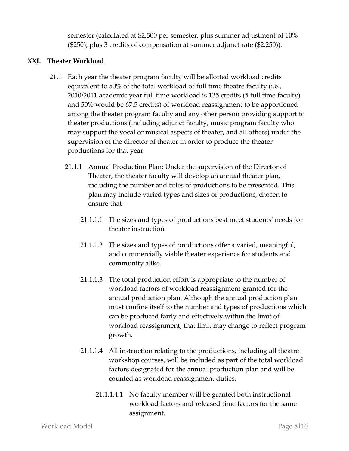semester (calculated at \$2,500 per semester, plus summer adjustment of 10% (\$250), plus 3 credits of compensation at summer adjunct rate (\$2,250)).

# **XXI. Theater Workload**

- 21.1 Each year the theater program faculty will be allotted workload credits equivalent to 50% of the total workload of full time theatre faculty (i.e., 2010/2011 academic year full time workload is 135 credits (5 full time faculty) and 50% would be 67.5 credits) of workload reassignment to be apportioned among the theater program faculty and any other person providing support to theater productions (including adjunct faculty, music program faculty who may support the vocal or musical aspects of theater, and all others) under the supervision of the director of theater in order to produce the theater productions for that year.
	- 21.1.1 Annual Production Plan: Under the supervision of the Director of Theater, the theater faculty will develop an annual theater plan, including the number and titles of productions to be presented. This plan may include varied types and sizes of productions, chosen to ensure that –
		- 21.1.1.1 The sizes and types of productions best meet students' needs for theater instruction.
		- 21.1.1.2 The sizes and types of productions offer a varied, meaningful, and commercially viable theater experience for students and community alike.
		- 21.1.1.3 The total production effort is appropriate to the number of workload factors of workload reassignment granted for the annual production plan. Although the annual production plan must confine itself to the number and types of productions which can be produced fairly and effectively within the limit of workload reassignment, that limit may change to reflect program growth.
		- 21.1.1.4 All instruction relating to the productions, including all theatre workshop courses, will be included as part of the total workload factors designated for the annual production plan and will be counted as workload reassignment duties.
			- 21.1.1.4.1 No faculty member will be granted both instructional workload factors and released time factors for the same assignment.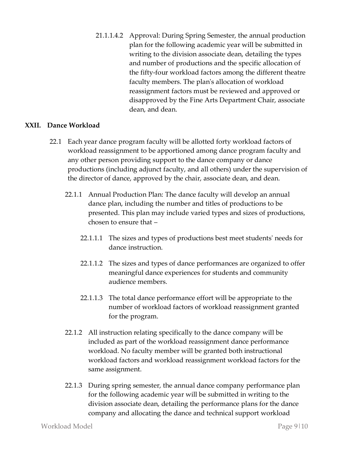21.1.1.4.2 Approval: During Spring Semester, the annual production plan for the following academic year will be submitted in writing to the division associate dean, detailing the types and number of productions and the specific allocation of the fifty-four workload factors among the different theatre faculty members. The plan's allocation of workload reassignment factors must be reviewed and approved or disapproved by the Fine Arts Department Chair, associate dean, and dean.

#### **XXII. Dance Workload**

- 22.1 Each year dance program faculty will be allotted forty workload factors of workload reassignment to be apportioned among dance program faculty and any other person providing support to the dance company or dance productions (including adjunct faculty, and all others) under the supervision of the director of dance, approved by the chair, associate dean, and dean.
	- 22.1.1 Annual Production Plan: The dance faculty will develop an annual dance plan, including the number and titles of productions to be presented. This plan may include varied types and sizes of productions, chosen to ensure that –
		- 22.1.1.1 The sizes and types of productions best meet students' needs for dance instruction.
		- 22.1.1.2 The sizes and types of dance performances are organized to offer meaningful dance experiences for students and community audience members.
		- 22.1.1.3 The total dance performance effort will be appropriate to the number of workload factors of workload reassignment granted for the program.
	- 22.1.2 All instruction relating specifically to the dance company will be included as part of the workload reassignment dance performance workload. No faculty member will be granted both instructional workload factors and workload reassignment workload factors for the same assignment.
	- 22.1.3 During spring semester, the annual dance company performance plan for the following academic year will be submitted in writing to the division associate dean, detailing the performance plans for the dance company and allocating the dance and technical support workload